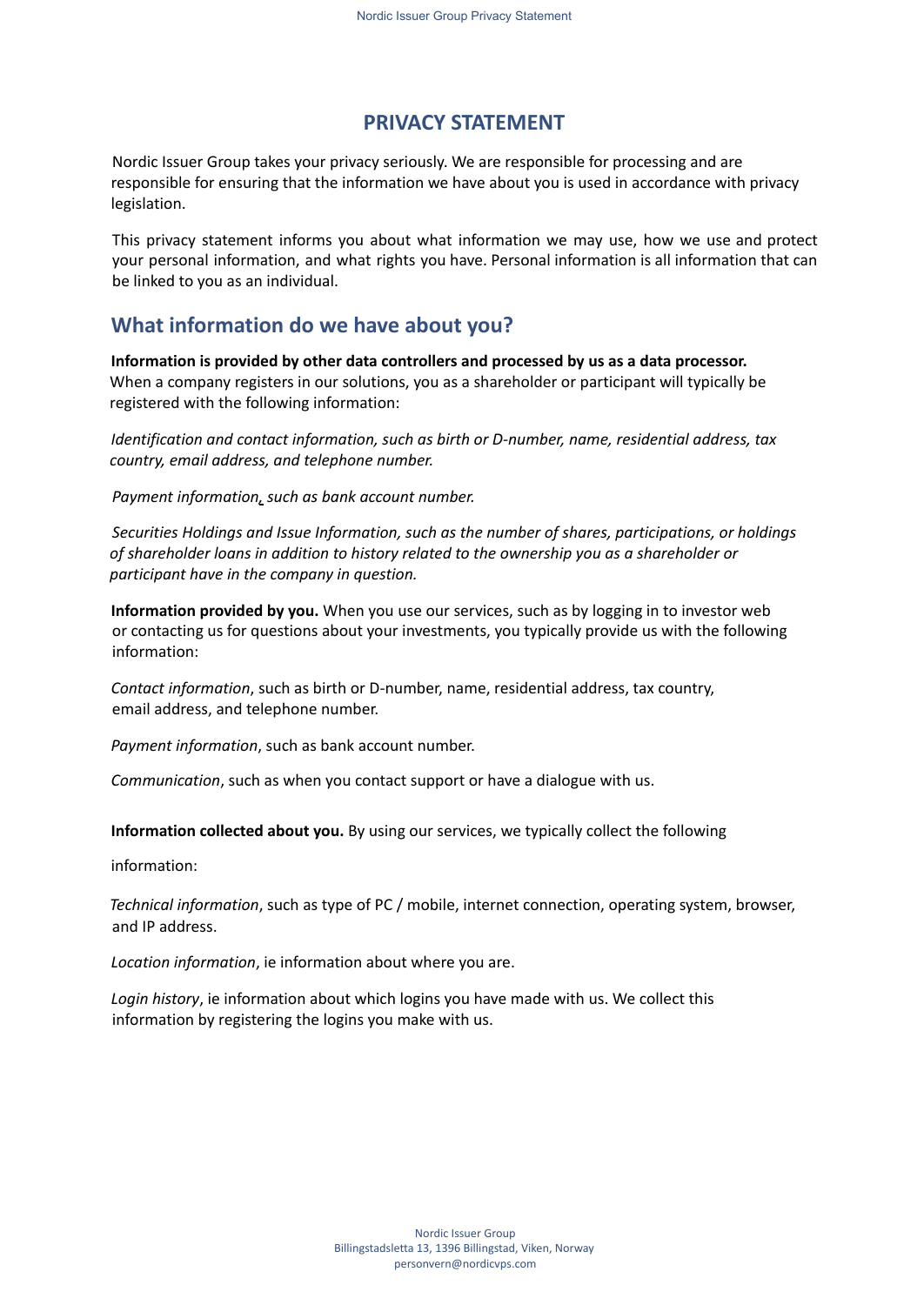## **PRIVACY STATEMENT**

Nordic Issuer Group takes your privacy seriously. We are responsible for processing and are responsible for ensuring that the information we have about you is used in accordance with privacy legislation.

This privacy statement informs you about what information we may use, how we use and protect your personal information, and what rights you have. Personal information is all information that can be linked to you as an individual.

# **What information do we have about you?**

**Information is provided by other data controllers and processed by us as a data processor.** When a company registers in our solutions, you as a shareholder or participant will typically be registered with the following information:

*Identification and contact information, such as birth or D-number, name, residential address, tax country, email address, and telephone number.*

*Payment information, such as bank account number.*

*Securities Holdings and Issue Information, such as the number of shares, participations, or holdings of shareholder loans in addition to history related to the ownership you as a shareholder or participant have in the company in question.*

**Information provided by you.** When you use our services, such as by logging in to investor web or contacting us for questions about your investments, you typically provide us with the following information:

*Contact information*, such as birth or D-number, name, residential address, tax country, email address, and telephone number.

*Payment information*, such as bank account number.

*Communication*, such as when you contact support or have a dialogue with us.

**Information collected about you.** By using our services, we typically collect the following

information:

*Technical information*, such as type of PC / mobile, internet connection, operating system, browser, and IP address.

*Location information*, ie information about where you are.

*Login history*, ie information about which logins you have made with us. We collect this information by registering the logins you make with us.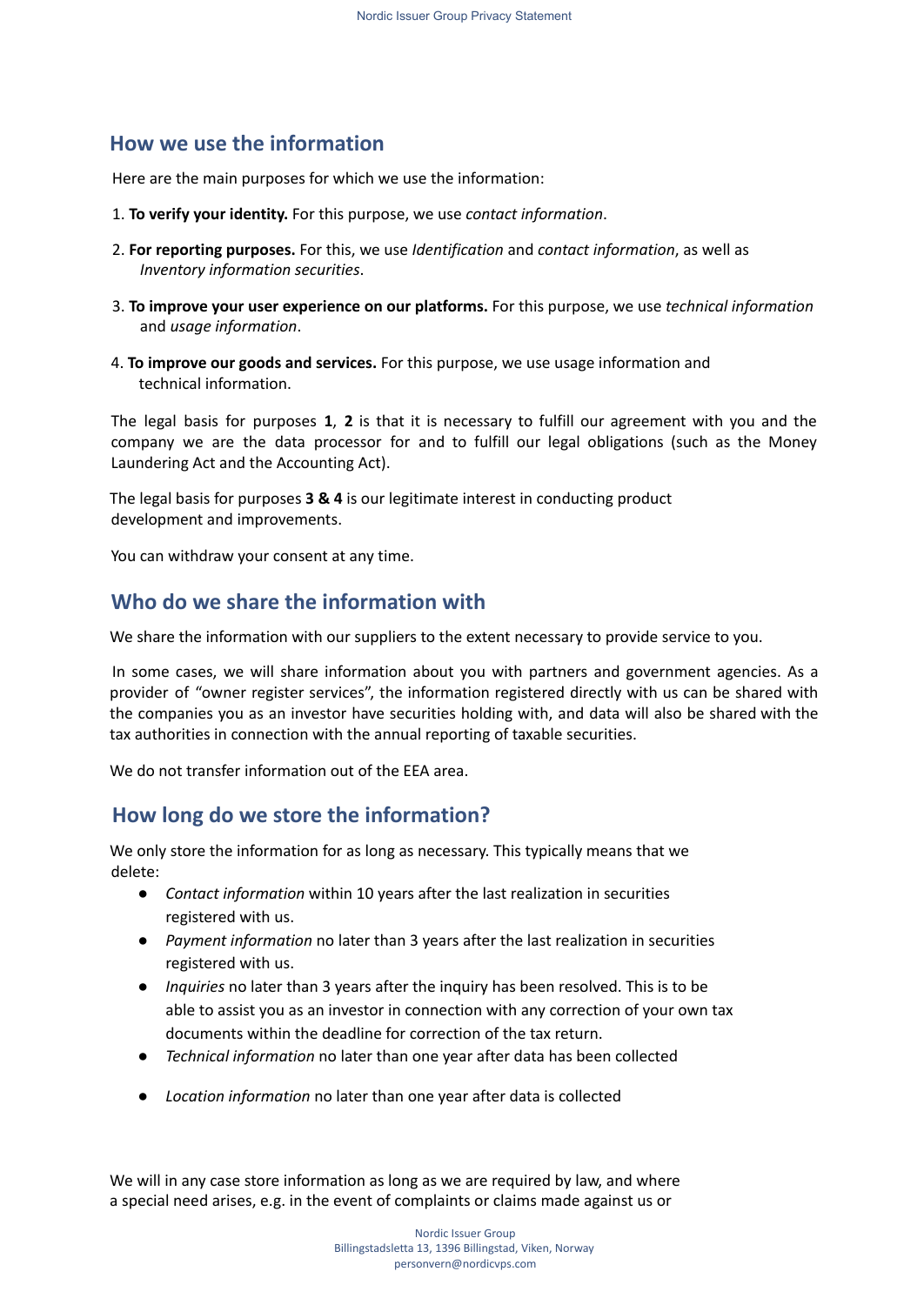# **How we use the information**

Here are the main purposes for which we use the information:

- 1. **To verify your identity.** For this purpose, we use *contact information*.
- 2. **For reporting purposes.** For this, we use *Identification* and *contact information*, as well as *Inventory information securities*.
- 3. **To improve your user experience on our platforms.** For this purpose, we use *technical information* and *usage information*.
- 4. **To improve our goods and services.** For this purpose, we use usage information and technical information.

The legal basis for purposes **1**, **2** is that it is necessary to fulfill our agreement with you and the company we are the data processor for and to fulfill our legal obligations (such as the Money Laundering Act and the Accounting Act).

The legal basis for purposes **3 & 4** is our legitimate interest in conducting product development and improvements.

You can withdraw your consent at any time.

## **Who do we share the information with**

We share the information with our suppliers to the extent necessary to provide service to you.

In some cases, we will share information about you with partners and government agencies. As a provider of "owner register services", the information registered directly with us can be shared with the companies you as an investor have securities holding with, and data will also be shared with the tax authorities in connection with the annual reporting of taxable securities.

We do not transfer information out of the EEA area.

# **How long do we store the information?**

We only store the information for as long as necessary. This typically means that we delete:

- *Contact information* within 10 years after the last realization in securities registered with us.
- *Payment information* no later than 3 years after the last realization in securities registered with us.
- *Inquiries* no later than 3 years after the inquiry has been resolved. This is to be able to assist you as an investor in connection with any correction of your own tax documents within the deadline for correction of the tax return.
- *Technical information* no later than one year after data has been collected
- *Location information* no later than one year after data is collected

We will in any case store information as long as we are required by law, and where a special need arises, e.g. in the event of complaints or claims made against us or